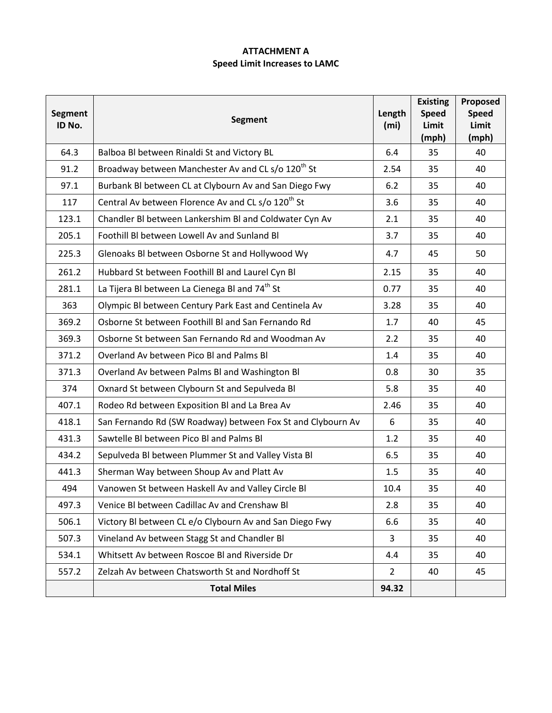## **ATTACHMENT A Speed Limit Increases to LAMC**

| <b>Segment</b><br>ID No. | <b>Segment</b>                                                 | Length<br>(m <sub>i</sub> ) | <b>Existing</b><br><b>Speed</b><br>Limit<br>(mph) | Proposed<br><b>Speed</b><br>Limit<br>(mph) |
|--------------------------|----------------------------------------------------------------|-----------------------------|---------------------------------------------------|--------------------------------------------|
| 64.3                     | Balboa Bl between Rinaldi St and Victory BL                    | 6.4                         | 35                                                | 40                                         |
| 91.2                     | Broadway between Manchester Av and CL s/o 120 <sup>th</sup> St | 2.54                        | 35                                                | 40                                         |
| 97.1                     | Burbank BI between CL at Clybourn Av and San Diego Fwy         | 6.2                         | 35                                                | 40                                         |
| 117                      | Central Av between Florence Av and CL s/o 120 <sup>th</sup> St | 3.6                         | 35                                                | 40                                         |
| 123.1                    | Chandler Bl between Lankershim Bl and Coldwater Cyn Av         | 2.1                         | 35                                                | 40                                         |
| 205.1                    | Foothill BI between Lowell Av and Sunland BI                   | 3.7                         | 35                                                | 40                                         |
| 225.3                    | Glenoaks Bl between Osborne St and Hollywood Wy                | 4.7                         | 45                                                | 50                                         |
| 261.2                    | Hubbard St between Foothill BI and Laurel Cyn BI               | 2.15                        | 35                                                | 40                                         |
| 281.1                    | La Tijera Bl between La Cienega Bl and 74 <sup>th</sup> St     | 0.77                        | 35                                                | 40                                         |
| 363                      | Olympic BI between Century Park East and Centinela Av          | 3.28                        | 35                                                | 40                                         |
| 369.2                    | Osborne St between Foothill BI and San Fernando Rd             | 1.7                         | 40                                                | 45                                         |
| 369.3                    | Osborne St between San Fernando Rd and Woodman Av              | 2.2                         | 35                                                | 40                                         |
| 371.2                    | Overland Av between Pico BI and Palms BI                       | 1.4                         | 35                                                | 40                                         |
| 371.3                    | Overland Av between Palms BI and Washington BI                 | 0.8                         | 30                                                | 35                                         |
| 374                      | Oxnard St between Clybourn St and Sepulveda Bl                 | 5.8                         | 35                                                | 40                                         |
| 407.1                    | Rodeo Rd between Exposition BI and La Brea Av                  | 2.46                        | 35                                                | 40                                         |
| 418.1                    | San Fernando Rd (SW Roadway) between Fox St and Clybourn Av    | 6                           | 35                                                | 40                                         |
| 431.3                    | Sawtelle BI between Pico BI and Palms BI                       | 1.2                         | 35                                                | 40                                         |
| 434.2                    | Sepulveda Bl between Plummer St and Valley Vista Bl            | 6.5                         | 35                                                | 40                                         |
| 441.3                    | Sherman Way between Shoup Av and Platt Av                      | 1.5                         | 35                                                | 40                                         |
| 494                      | Vanowen St between Haskell Av and Valley Circle Bl             | 10.4                        | 35                                                | 40                                         |
| 497.3                    | Venice BI between Cadillac Av and Crenshaw BI                  | 2.8                         | 35                                                | 40                                         |
| 506.1                    | Victory Bl between CL e/o Clybourn Av and San Diego Fwy        | 6.6                         | 35                                                | 40                                         |
| 507.3                    | Vineland Av between Stagg St and Chandler Bl                   | 3                           | 35                                                | 40                                         |
| 534.1                    | Whitsett Av between Roscoe Bl and Riverside Dr                 | 4.4                         | 35                                                | 40                                         |
| 557.2                    | Zelzah Av between Chatsworth St and Nordhoff St                | $2^{\circ}$                 | 40                                                | 45                                         |
|                          | <b>Total Miles</b>                                             | 94.32                       |                                                   |                                            |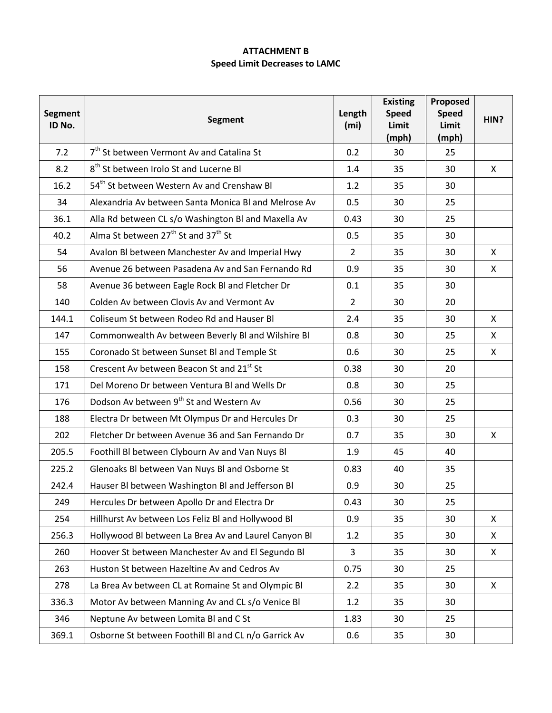## **ATTACHMENT B Speed Limit Decreases to LAMC**

| <b>Segment</b><br>ID No. | <b>Segment</b>                                              | Length<br>(m <sub>i</sub> ) | <b>Existing</b><br><b>Speed</b><br>Limit<br>(mph) | Proposed<br><b>Speed</b><br>Limit<br>(mph) | HIN? |
|--------------------------|-------------------------------------------------------------|-----------------------------|---------------------------------------------------|--------------------------------------------|------|
| 7.2                      | 7 <sup>th</sup> St between Vermont Av and Catalina St       | 0.2                         | 30                                                | 25                                         |      |
| 8.2                      | 8 <sup>th</sup> St between Irolo St and Lucerne BI          | 1.4                         | 35                                                | 30                                         | X    |
| 16.2                     | 54 <sup>th</sup> St between Western Av and Crenshaw Bl      | 1.2                         | 35                                                | 30                                         |      |
| 34                       | Alexandria Av between Santa Monica BI and Melrose Av        | 0.5                         | 30                                                | 25                                         |      |
| 36.1                     | Alla Rd between CL s/o Washington BI and Maxella Av         | 0.43                        | 30                                                | 25                                         |      |
| 40.2                     | Alma St between 27 <sup>th</sup> St and 37 <sup>th</sup> St | 0.5                         | 35                                                | 30                                         |      |
| 54                       | Avalon BI between Manchester Av and Imperial Hwy            | $\overline{2}$              | 35                                                | 30                                         | X    |
| 56                       | Avenue 26 between Pasadena Av and San Fernando Rd           | 0.9                         | 35                                                | 30                                         | X    |
| 58                       | Avenue 36 between Eagle Rock BI and Fletcher Dr             | 0.1                         | 35                                                | 30                                         |      |
| 140                      | Colden Av between Clovis Av and Vermont Av                  | $2^{\circ}$                 | 30                                                | 20                                         |      |
| 144.1                    | Coliseum St between Rodeo Rd and Hauser Bl                  | 2.4                         | 35                                                | 30                                         | X    |
| 147                      | Commonwealth Av between Beverly Bl and Wilshire Bl          | 0.8                         | 30                                                | 25                                         | X    |
| 155                      | Coronado St between Sunset BI and Temple St                 | 0.6                         | 30                                                | 25                                         | X    |
| 158                      | Crescent Av between Beacon St and 21st St                   | 0.38                        | 30                                                | 20                                         |      |
| 171                      | Del Moreno Dr between Ventura BI and Wells Dr               | 0.8                         | 30                                                | 25                                         |      |
| 176                      | Dodson Av between 9 <sup>th</sup> St and Western Av         | 0.56                        | 30                                                | 25                                         |      |
| 188                      | Electra Dr between Mt Olympus Dr and Hercules Dr            | 0.3                         | 30                                                | 25                                         |      |
| 202                      | Fletcher Dr between Avenue 36 and San Fernando Dr           | 0.7                         | 35                                                | 30                                         | X    |
| 205.5                    | Foothill BI between Clybourn Av and Van Nuys BI             | 1.9                         | 45                                                | 40                                         |      |
| 225.2                    | Glenoaks Bl between Van Nuys Bl and Osborne St              | 0.83                        | 40                                                | 35                                         |      |
| 242.4                    | Hauser Bl between Washington Bl and Jefferson Bl            | 0.9                         | 30                                                | 25                                         |      |
| 249                      | Hercules Dr between Apollo Dr and Electra Dr                | 0.43                        | 30                                                | 25                                         |      |
| 254                      | Hillhurst Av between Los Feliz Bl and Hollywood Bl          | 0.9                         | 35                                                | 30                                         | X    |
| 256.3                    | Hollywood Bl between La Brea Av and Laurel Canyon Bl        | 1.2                         | 35                                                | 30                                         | X    |
| 260                      | Hoover St between Manchester Av and El Segundo Bl           | 3                           | 35                                                | 30                                         | X    |
| 263                      | Huston St between Hazeltine Av and Cedros Av                | 0.75                        | 30                                                | 25                                         |      |
| 278                      | La Brea Av between CL at Romaine St and Olympic Bl          | 2.2                         | 35                                                | 30                                         | X    |
| 336.3                    | Motor Av between Manning Av and CL s/o Venice Bl            | 1.2                         | 35                                                | 30                                         |      |
| 346                      | Neptune Av between Lomita Bl and C St                       | 1.83                        | 30                                                | 25                                         |      |
| 369.1                    | Osborne St between Foothill BI and CL n/o Garrick Av        | 0.6                         | 35                                                | 30                                         |      |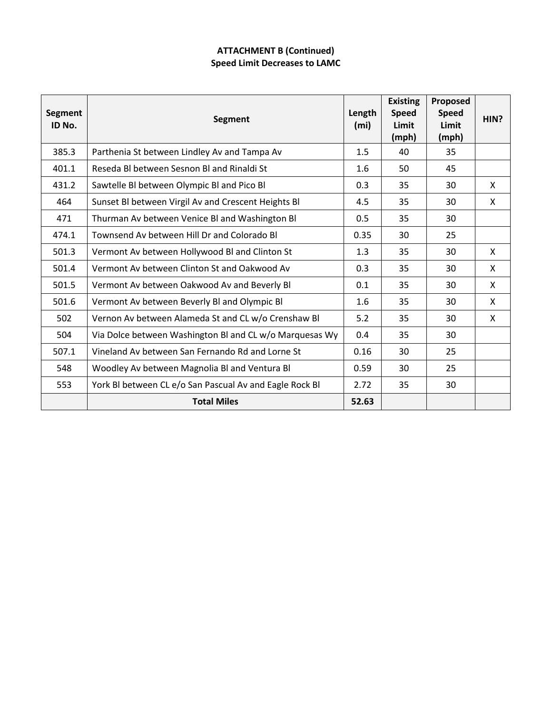## **ATTACHMENT B (Continued) Speed Limit Decreases to LAMC**

| <b>Segment</b><br>ID No. | <b>Segment</b>                                          | Length<br>(m <sub>i</sub> ) | <b>Existing</b><br><b>Speed</b><br>Limit<br>(mph) | Proposed<br><b>Speed</b><br>Limit<br>(mph) | HIN?         |
|--------------------------|---------------------------------------------------------|-----------------------------|---------------------------------------------------|--------------------------------------------|--------------|
| 385.3                    | Parthenia St between Lindley Av and Tampa Av            | 1.5                         | 40                                                | 35                                         |              |
| 401.1                    | Reseda Bl between Sesnon Bl and Rinaldi St              | 1.6                         | 50                                                | 45                                         |              |
| 431.2                    | Sawtelle BI between Olympic BI and Pico BI              | 0.3                         | 35                                                | 30                                         | $\mathsf{X}$ |
| 464                      | Sunset BI between Virgil Av and Crescent Heights BI     | 4.5                         | 35                                                | 30                                         | X            |
| 471                      | Thurman Av between Venice BI and Washington BI          | 0.5                         | 35                                                | 30                                         |              |
| 474.1                    | Townsend Av between Hill Dr and Colorado Bl             | 0.35                        | 30                                                | 25                                         |              |
| 501.3                    | Vermont Av between Hollywood Bl and Clinton St          | 1.3                         | 35                                                | 30                                         | X            |
| 501.4                    | Vermont Av between Clinton St and Oakwood Av            | 0.3                         | 35                                                | 30                                         | $\mathsf{X}$ |
| 501.5                    | Vermont Av between Oakwood Av and Beverly Bl            | 0.1                         | 35                                                | 30                                         | $\mathsf{X}$ |
| 501.6                    | Vermont Av between Beverly BI and Olympic BI            | 1.6                         | 35                                                | 30                                         | $\mathsf{X}$ |
| 502                      | Vernon Av between Alameda St and CL w/o Crenshaw Bl     | 5.2                         | 35                                                | 30                                         | X            |
| 504                      | Via Dolce between Washington BI and CL w/o Marquesas Wy | 0.4                         | 35                                                | 30                                         |              |
| 507.1                    | Vineland Av between San Fernando Rd and Lorne St        | 0.16                        | 30                                                | 25                                         |              |
| 548                      | Woodley Av between Magnolia BI and Ventura BI           | 0.59                        | 30                                                | 25                                         |              |
| 553                      | York BI between CL e/o San Pascual Av and Eagle Rock BI | 2.72                        | 35                                                | 30                                         |              |
|                          | <b>Total Miles</b>                                      | 52.63                       |                                                   |                                            |              |